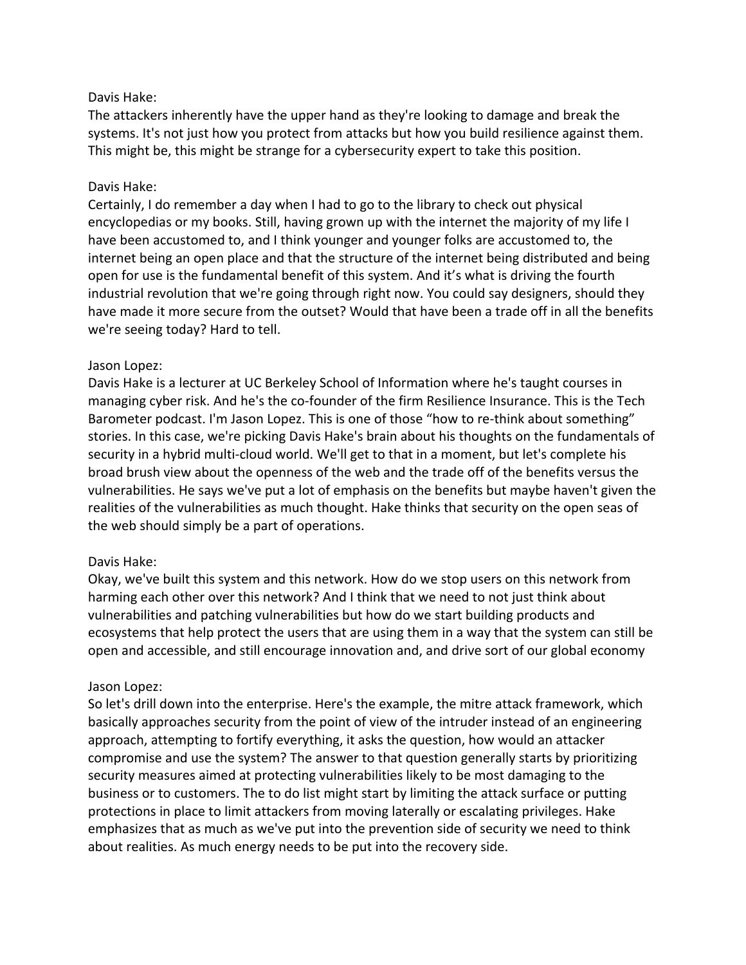## Davis Hake:

The attackers inherently have the upper hand as they're looking to damage and break the systems. It's not just how you protect from attacks but how you build resilience against them. This might be, this might be strange for a cybersecurity expert to take this position.

## Davis Hake:

Certainly, I do remember a day when I had to go to the library to check out physical encyclopedias or my books. Still, having grown up with the internet the majority of my life I have been accustomed to, and I think younger and younger folks are accustomed to, the internet being an open place and that the structure of the internet being distributed and being open for use is the fundamental benefit of this system. And it's what is driving the fourth industrial revolution that we're going through right now. You could say designers, should they have made it more secure from the outset? Would that have been a trade off in all the benefits we're seeing today? Hard to tell.

## Jason Lopez:

Davis Hake is a lecturer at UC Berkeley School of Information where he's taught courses in managing cyber risk. And he's the co-founder of the firm Resilience Insurance. This is the Tech Barometer podcast. I'm Jason Lopez. This is one of those "how to re-think about something" stories. In this case, we're picking Davis Hake's brain about his thoughts on the fundamentals of security in a hybrid multi-cloud world. We'll get to that in a moment, but let's complete his broad brush view about the openness of the web and the trade off of the benefits versus the vulnerabilities. He says we've put a lot of emphasis on the benefits but maybe haven't given the realities of the vulnerabilities as much thought. Hake thinks that security on the open seas of the web should simply be a part of operations.

# Davis Hake:

Okay, we've built this system and this network. How do we stop users on this network from harming each other over this network? And I think that we need to not just think about vulnerabilities and patching vulnerabilities but how do we start building products and ecosystems that help protect the users that are using them in a way that the system can still be open and accessible, and still encourage innovation and, and drive sort of our global economy

#### Jason Lopez:

So let's drill down into the enterprise. Here's the example, the mitre attack framework, which basically approaches security from the point of view of the intruder instead of an engineering approach, attempting to fortify everything, it asks the question, how would an attacker compromise and use the system? The answer to that question generally starts by prioritizing security measures aimed at protecting vulnerabilities likely to be most damaging to the business or to customers. The to do list might start by limiting the attack surface or putting protections in place to limit attackers from moving laterally or escalating privileges. Hake emphasizes that as much as we've put into the prevention side of security we need to think about realities. As much energy needs to be put into the recovery side.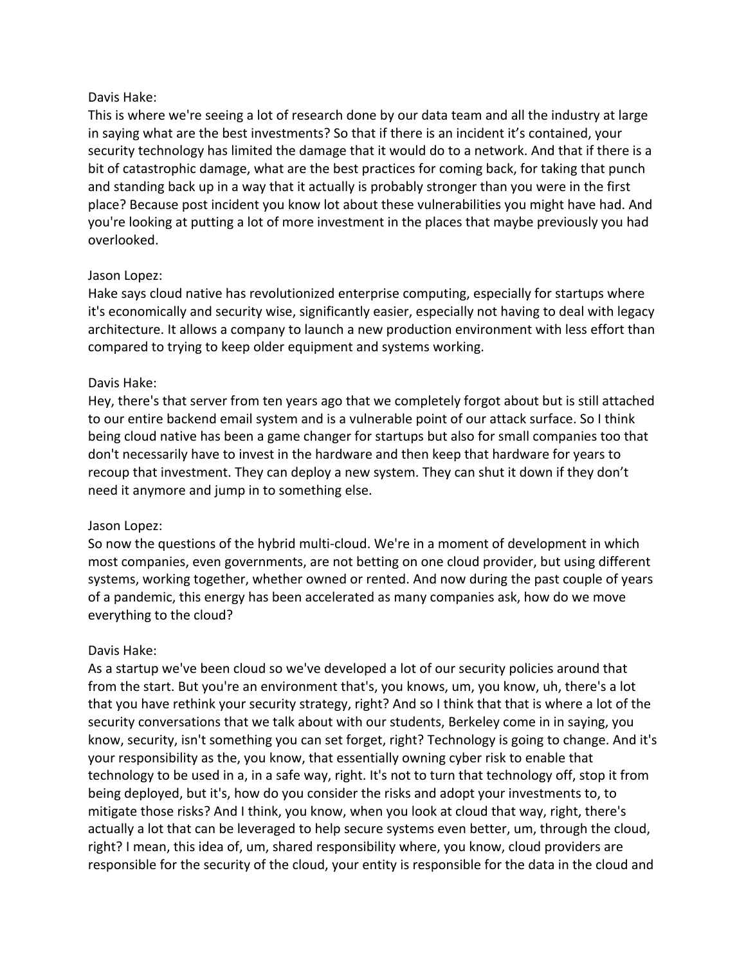## Davis Hake:

This is where we're seeing a lot of research done by our data team and all the industry at large in saying what are the best investments? So that if there is an incident it's contained, your security technology has limited the damage that it would do to a network. And that if there is a bit of catastrophic damage, what are the best practices for coming back, for taking that punch and standing back up in a way that it actually is probably stronger than you were in the first place? Because post incident you know lot about these vulnerabilities you might have had. And you're looking at putting a lot of more investment in the places that maybe previously you had overlooked.

## Jason Lopez:

Hake says cloud native has revolutionized enterprise computing, especially for startups where it's economically and security wise, significantly easier, especially not having to deal with legacy architecture. It allows a company to launch a new production environment with less effort than compared to trying to keep older equipment and systems working.

## Davis Hake:

Hey, there's that server from ten years ago that we completely forgot about but is still attached to our entire backend email system and is a vulnerable point of our attack surface. So I think being cloud native has been a game changer for startups but also for small companies too that don't necessarily have to invest in the hardware and then keep that hardware for years to recoup that investment. They can deploy a new system. They can shut it down if they don't need it anymore and jump in to something else.

#### Jason Lopez:

So now the questions of the hybrid multi-cloud. We're in a moment of development in which most companies, even governments, are not betting on one cloud provider, but using different systems, working together, whether owned or rented. And now during the past couple of years of a pandemic, this energy has been accelerated as many companies ask, how do we move everything to the cloud?

# Davis Hake:

As a startup we've been cloud so we've developed a lot of our security policies around that from the start. But you're an environment that's, you knows, um, you know, uh, there's a lot that you have rethink your security strategy, right? And so I think that that is where a lot of the security conversations that we talk about with our students, Berkeley come in in saying, you know, security, isn't something you can set forget, right? Technology is going to change. And it's your responsibility as the, you know, that essentially owning cyber risk to enable that technology to be used in a, in a safe way, right. It's not to turn that technology off, stop it from being deployed, but it's, how do you consider the risks and adopt your investments to, to mitigate those risks? And I think, you know, when you look at cloud that way, right, there's actually a lot that can be leveraged to help secure systems even better, um, through the cloud, right? I mean, this idea of, um, shared responsibility where, you know, cloud providers are responsible for the security of the cloud, your entity is responsible for the data in the cloud and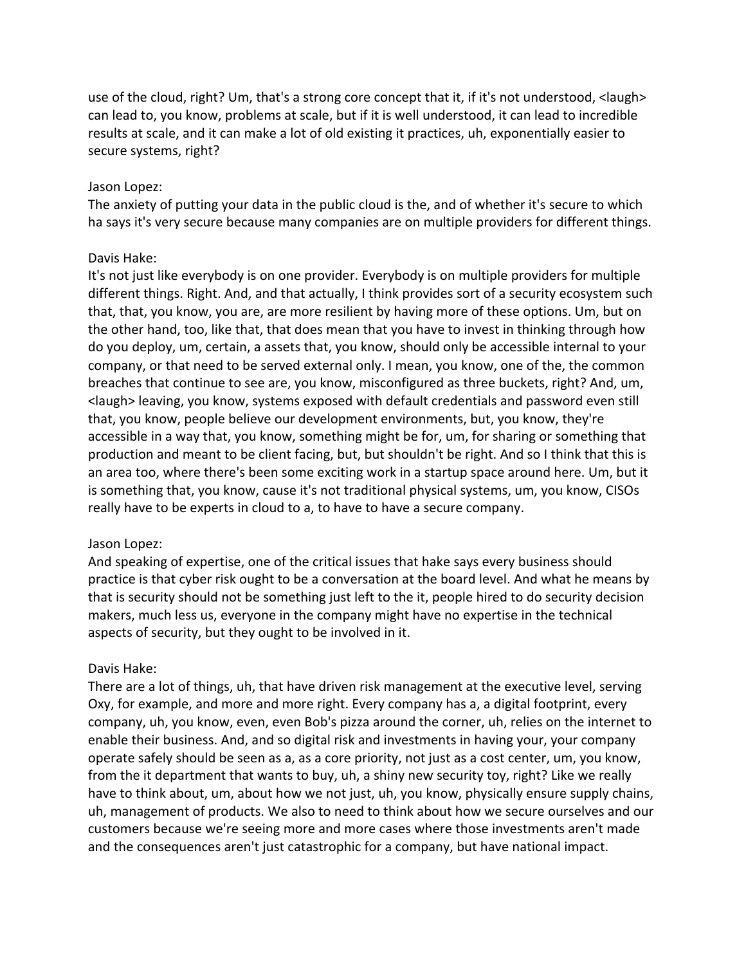use of the cloud, right? Um, that's a strong core concept that it, if it's not understood, <laugh> can lead to, you know, problems at scale, but if it is well understood, it can lead to incredible results at scale, and it can make a lot of old existing it practices, uh, exponentially easier to secure systems, right?

#### Jason Lopez:

The anxiety of putting your data in the public cloud is the, and of whether it's secure to which ha says it's very secure because many companies are on multiple providers for different things.

#### Davis Hake:

It's not just like everybody is on one provider. Everybody is on multiple providers for multiple different things. Right. And, and that actually, I think provides sort of a security ecosystem such that, that, you know, you are, are more resilient by having more of these options. Um, but on the other hand, too, like that, that does mean that you have to invest in thinking through how do you deploy, um, certain, a assets that, you know, should only be accessible internal to your company, or that need to be served external only. I mean, you know, one of the, the common breaches that continue to see are, you know, misconfigured as three buckets, right? And, um, <laugh> leaving, you know, systems exposed with default credentials and password even still that, you know, people believe our development environments, but, you know, they're accessible in a way that, you know, something might be for, um, for sharing or something that production and meant to be client facing, but, but shouldn't be right. And so I think that this is an area too, where there's been some exciting work in a startup space around here. Um, but it is something that, you know, cause it's not traditional physical systems, um, you know, CISOs really have to be experts in cloud to a, to have to have a secure company.

#### Jason Lopez:

And speaking of expertise, one of the critical issues that hake says every business should practice is that cyber risk ought to be a conversation at the board level. And what he means by that is security should not be something just left to the it, people hired to do security decision makers, much less us, everyone in the company might have no expertise in the technical aspects of security, but they ought to be involved in it.

#### Davis Hake:

There are a lot of things, uh, that have driven risk management at the executive level, serving Oxy, for example, and more and more right. Every company has a, a digital footprint, every company, uh, you know, even, even Bob's pizza around the corner, uh, relies on the internet to enable their business. And, and so digital risk and investments in having your, your company operate safely should be seen as a, as a core priority, not just as a cost center, um, you know, from the it department that wants to buy, uh, a shiny new security toy, right? Like we really have to think about, um, about how we not just, uh, you know, physically ensure supply chains, uh, management of products. We also to need to think about how we secure ourselves and our customers because we're seeing more and more cases where those investments aren't made and the consequences aren't just catastrophic for a company, but have national impact.